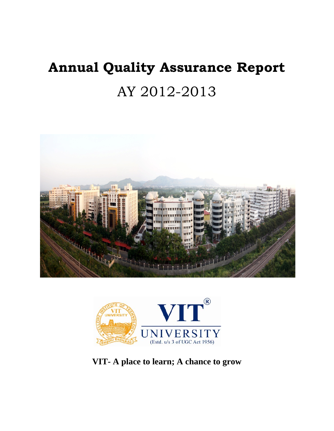# **Annual Quality Assurance Report**  AY 2012-2013





**VIT- A place to learn; A chance to grow**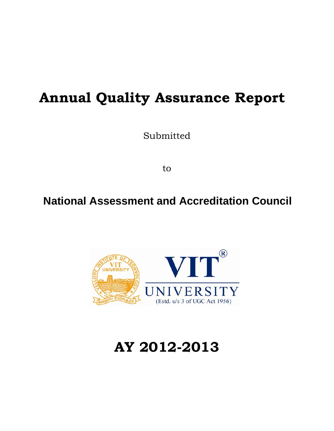## **Annual Quality Assurance Report**

Submitted

to

## **National Assessment and Accreditation Council**



## **AY 2012-2013**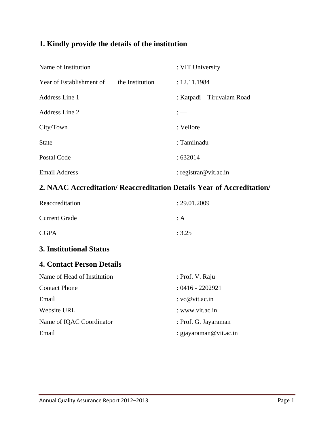### **1. Kindly provide the details of the institution**

| Name of Institution      |                 | : VIT University           |
|--------------------------|-----------------|----------------------------|
| Year of Establishment of | the Institution | : 12.11.1984               |
| Address Line 1           |                 | : Katpadi – Tiruvalam Road |
| Address Line 2           |                 |                            |
| City/Town                |                 | : Vellore                  |
| <b>State</b>             |                 | : Tamilnadu                |
| Postal Code              |                 | :632014                    |
| <b>Email Address</b>     |                 | : registrar@vit.ac.in      |

#### **2. NAAC Accreditation/ Reaccreditation Details Year of Accreditation/**

| Reaccreditation                  | : 29.01.2009       |
|----------------------------------|--------------------|
| Current Grade                    | $\therefore$ A     |
| <b>CGPA</b>                      | : 3.25             |
| 3. Institutional Status          |                    |
| <b>4. Contact Person Details</b> |                    |
| Name of Head of Institution      | : Prof. V. Raju    |
| <b>Contact Phone</b>             | $: 0416 - 2202921$ |

| Email                    | : $vc@vit.ac.in$       |
|--------------------------|------------------------|
| Website URL              | : www.vit.ac.in        |
| Name of IQAC Coordinator | : Prof. G. Jayaraman   |
| Email                    | : gjayaraman@vit.ac.in |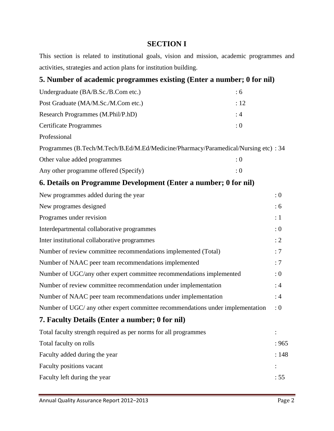#### **SECTION I**

This section is related to institutional goals, vision and mission, academic programmes and activities, strategies and action plans for institution building.

## **5. Number of academic programmes existing (Enter a number; 0 for nil)**  Undergraduate (BA/B.Sc./B.Com etc.) : 6 Post Graduate (MA/M.Sc./M.Com etc.) : 12 Research Programmes (M.Phil/P.hD) : 4 Certificate Programmes : 0 Professional Programmes (B.Tech/M.Tech/B.Ed/M.Ed/Medicine/Pharmacy/Paramedical/Nursing etc) : 34 Other value added programmes : 0 Any other programme offered (Specify) : 0 **6. Details on Programme Development (Enter a number; 0 for nil)**  New programmes added during the year  $: 0$ New programes designed : 6 Programes under revision : 1 Interdepartmental collaborative programmes : 0 Inter institutional collaborative programmes : 2 Number of review committee recommendations implemented (Total) : 7 Number of NAAC peer team recommendations implemented : 7 Number of UGC/any other expert committee recommendations implemented : 0 Number of review committee recommendation under implementation : 4 Number of NAAC peer team recommendations under implementation : 4 Number of UGC/ any other expert committee recommendations under implementation : 0 **7. Faculty Details (Enter a number; 0 for nil)**  Total faculty strength required as per norms for all programmes : Total faculty on rolls  $\hspace{1.5cm}$  : 965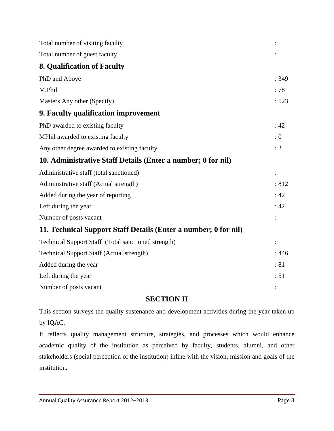| Total number of visiting faculty                                |       |
|-----------------------------------------------------------------|-------|
| Total number of guest faculty                                   |       |
| 8. Qualification of Faculty                                     |       |
| PhD and Above                                                   | : 349 |
| M.Phil                                                          | :78   |
| Masters Any other (Specify)                                     | : 523 |
| 9. Faculty qualification improvement                            |       |
| PhD awarded to existing faculty                                 | :42   |
| MPhil awarded to existing faculty                               | : 0   |
| Any other degree awarded to existing faculty                    | : 2   |
| 10. Administrative Staff Details (Enter a number; 0 for nil)    |       |
| Administrative staff (total sanctioned)                         |       |
| Administrative staff (Actual strength)                          | :812  |
| Added during the year of reporting                              | : 42  |
| Left during the year                                            | :42   |
| Number of posts vacant                                          |       |
| 11. Technical Support Staff Details (Enter a number; 0 for nil) |       |
| Technical Support Staff (Total sanctioned strength)             |       |
| <b>Technical Support Staff (Actual strength)</b>                | : 446 |
| Added during the year                                           | :81   |
| Left during the year                                            | : 51  |
| Number of posts vacant                                          |       |

#### **SECTION II**

This section surveys the quality sustenance and development activities during the year taken up by IQAC.

It reflects quality management structure, strategies, and processes which would enhance academic quality of the institution as perceived by faculty, students, alumni, and other stakeholders (social perception of the institution) inline with the vision, mission and goals of the institution.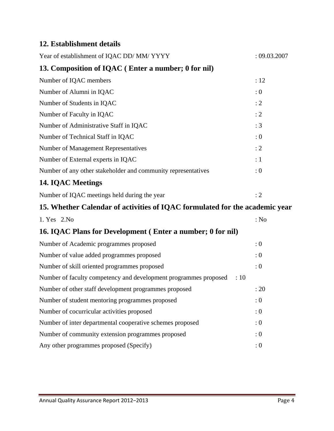#### **12. Establishment details**

| Year of establishment of IQAC DD/MM/YYYY                                            | : 09.03.2007 |
|-------------------------------------------------------------------------------------|--------------|
| 13. Composition of IQAC (Enter a number; 0 for nil)                                 |              |
| Number of IQAC members                                                              | : 12         |
| Number of Alumni in IQAC                                                            | : 0          |
| Number of Students in IQAC                                                          | : 2          |
| Number of Faculty in IQAC                                                           | : 2          |
| Number of Administrative Staff in IQAC                                              | : 3          |
| Number of Technical Staff in IQAC                                                   | : 0          |
| Number of Management Representatives                                                | : 2          |
| Number of External experts in IQAC                                                  | :1           |
| Number of any other stakeholder and community representatives                       | : 0          |
| <b>14. IQAC Meetings</b>                                                            |              |
| Number of IQAC meetings held during the year                                        | : 2          |
| 15. Whether Calendar of activities of IQAC formulated for the academic year         |              |
| 1. Yes 2. No                                                                        | : No         |
| 16. IQAC Plans for Development (Enter a number; 0 for nil)                          |              |
| Number of Academic programmes proposed                                              | : 0          |
| Number of value added programmes proposed                                           | : 0          |
| Number of skill oriented programmes proposed                                        | : 0          |
| Number of faculty competency and development programmes proposed<br>$\therefore$ 10 |              |
| Number of other staff development programmes proposed                               | : 20         |
| Number of student mentoring programmes proposed                                     | : 0          |
| Number of cocurricular activities proposed                                          | : 0          |
| Number of inter departmental cooperative schemes proposed                           | : 0          |
| Number of community extension programmes proposed                                   | : 0          |
| Any other programmes proposed (Specify)                                             | : 0          |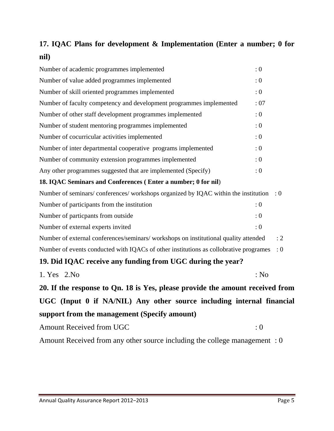## **17. IQAC Plans for development & Implementation (Enter a number; 0 for nil)**

| Number of academic programmes implemented<br>: 0                                      |      |
|---------------------------------------------------------------------------------------|------|
| Number of value added programmes implemented<br>: 0                                   |      |
| Number of skill oriented programmes implemented<br>: 0                                |      |
| Number of faculty competency and development programmes implemented                   | : 07 |
| Number of other staff development programmes implemented<br>: 0                       |      |
| Number of student mentoring programmes implemented<br>: 0                             |      |
| Number of cocurricular activities implemented<br>: 0                                  |      |
| Number of inter departmental cooperative programs implemented<br>: 0                  |      |
| Number of community extension programmes implemented<br>: 0                           |      |
| Any other programmes suggested that are implemented (Specify)<br>: 0                  |      |
| 18. IQAC Seminars and Conferences (Enter a number; 0 for nil)                         |      |
| Number of seminars/conferences/workshops organized by IQAC within the institution : 0 |      |
| Number of participants from the institution<br>: 0                                    |      |
| Number of particpants from outside<br>: 0                                             |      |
| Number of external experts invited<br>: 0                                             |      |
| Number of external conferences/seminars/ workshops on institutional quality attended  | : 2  |
| Number of events conducted with IQACs of other institutions as collobrative programes | : 0  |
| 19. Did IQAC receive any funding from UGC during the year?                            |      |

1. Yes 2. No : No : No **20. If the response to Qn. 18 is Yes, please provide the amount received from UGC (Input 0 if NA/NIL) Any other source including internal financial support from the management (Specify amount)** 

Amount Received from UGC : 0

Amount Received from any other source including the college management : 0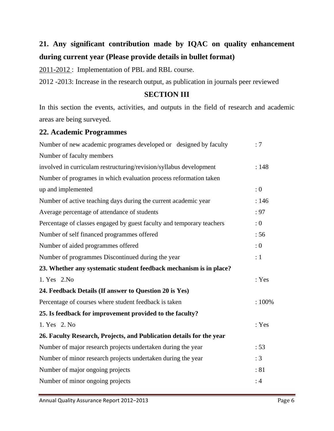## **21. Any significant contribution made by IQAC on quality enhancement during current year (Please provide details in bullet format)**

2011-2012 : Implementation of PBL and RBL course.

2012 -2013: Increase in the research output, as publication in journals peer reviewed

#### **SECTION III**

In this section the events, activities, and outputs in the field of research and academic areas are being surveyed.

#### **22. Academic Programmes**

| Number of new academic programes developed or designed by faculty     | :7    |
|-----------------------------------------------------------------------|-------|
| Number of faculty members                                             |       |
| involved in curriculam restructuring/revision/syllabus development    | : 148 |
| Number of programes in which evaluation process reformation taken     |       |
| up and implemented                                                    | : 0   |
| Number of active teaching days during the current academic year       | : 146 |
| Average percentage of attendance of students                          | : 97  |
| Percentage of classes engaged by guest faculty and temporary teachers | : 0   |
| Number of self financed programmes offered                            | :56   |
| Number of aided programmes offered                                    | : 0   |
| Number of programmes Discontinued during the year                     | :1    |
| 23. Whether any systematic student feedback mechanism is in place?    |       |
| 1. Yes 2. No                                                          | : Yes |
| 24. Feedback Details (If answer to Question 20 is Yes)                |       |
| Percentage of courses where student feedback is taken                 | :100% |
| 25. Is feedback for improvement provided to the faculty?              |       |
| 1. Yes 2. No                                                          | : Yes |
| 26. Faculty Research, Projects, and Publication details for the year  |       |
| Number of major research projects undertaken during the year          | : 53  |
| Number of minor research projects undertaken during the year          | : 3   |
| Number of major ongoing projects                                      | :81   |
| Number of minor ongoing projects                                      | :4    |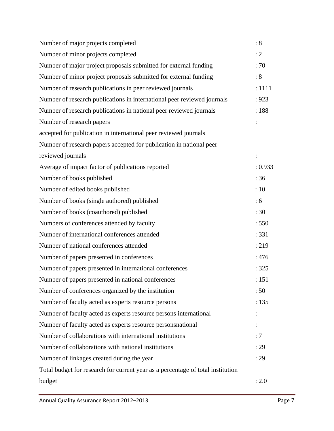| Number of major projects completed                                              | : 8      |
|---------------------------------------------------------------------------------|----------|
| Number of minor projects completed                                              | : 2      |
| Number of major project proposals submitted for external funding                | :70      |
| Number of minor project proposals submitted for external funding                | :8       |
| Number of research publications in peer reviewed journals                       | : 1111   |
| Number of research publications in international peer reviewed journals         | : 923    |
| Number of research publications in national peer reviewed journals              | :188     |
| Number of research papers                                                       |          |
| accepted for publication in international peer reviewed journals                |          |
| Number of research papers accepted for publication in national peer             |          |
| reviewed journals                                                               | $\vdots$ |
| Average of impact factor of publications reported                               | : 0.933  |
| Number of books published                                                       | :36      |
| Number of edited books published                                                | :10      |
| Number of books (single authored) published                                     | :6       |
| Number of books (coauthored) published                                          | :30      |
| Numbers of conferences attended by faculty                                      | : 550    |
| Number of international conferences attended                                    | : 331    |
| Number of national conferences attended                                         | : 219    |
| Number of papers presented in conferences                                       | :476     |
| Number of papers presented in international conferences                         | : 325    |
| Number of papers presented in national conferences                              | : 151    |
| Number of conferences organized by the institution                              | :50      |
| Number of faculty acted as experts resource persons                             | : 135    |
| Number of faculty acted as experts resource persons international               |          |
| Number of faculty acted as experts resource personsnational                     |          |
| Number of collaborations with international institutions                        | :7       |
| Number of collaborations with national institutions                             | : 29     |
| Number of linkages created during the year                                      | : 29     |
| Total budget for research for current year as a percentage of total institution |          |
| budget                                                                          | : 2.0    |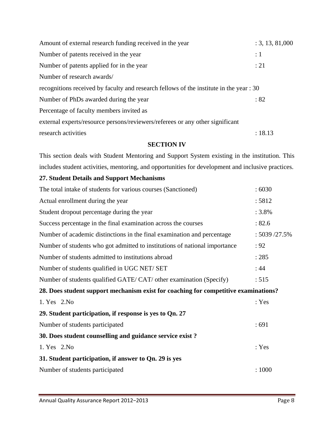| research activities                                                                     | : 18.13         |
|-----------------------------------------------------------------------------------------|-----------------|
| external experts/resource persons/reviewers/referees or any other significant           |                 |
| Percentage of faculty members invited as                                                |                 |
| Number of PhDs awarded during the year                                                  | :82             |
| recognitions received by faculty and research fellows of the institute in the year : 30 |                 |
| Number of research awards/                                                              |                 |
| Number of patents applied for in the year                                               | : 21            |
| Number of patents received in the year                                                  | $\colon 1$      |
| Amount of external research funding received in the year                                | : 3, 13, 81,000 |

#### **SECTION IV**

This section deals with Student Mentoring and Support System existing in the institution. This includes student activities, mentoring, and opportunities for development and inclusive practices.

#### **27. Student Details and Support Mechanisms**

| The total intake of students for various courses (Sanctioned)                       | :6030         |
|-------------------------------------------------------------------------------------|---------------|
| Actual enrollment during the year                                                   | : 5812        |
| Student dropout percentage during the year                                          | $: 3.8\%$     |
| Success percentage in the final examination across the courses                      | : 82.6        |
| Number of academic distinctions in the final examination and percentage             | : 5039 /27.5% |
| Number of students who got admitted to institutions of national importance          | : 92          |
| Number of students admitted to institutions abroad                                  | : 285         |
| Number of students qualified in UGC NET/ SET                                        | :44           |
| Number of students qualified GATE/CAT/ other examination (Specify)                  | : 515         |
| 28. Does student support mechanism exist for coaching for competitive examinations? |               |
| 1. Yes 2. No                                                                        | : Yes         |
| 29. Student participation, if response is yes to Qn. 27                             |               |
| Number of students participated                                                     | :691          |
| 30. Does student counselling and guidance service exist?                            |               |
| 1. Yes 2. No                                                                        | : Yes         |
| 31. Student participation, if answer to Qn. 29 is yes                               |               |
| Number of students participated                                                     | : 1000        |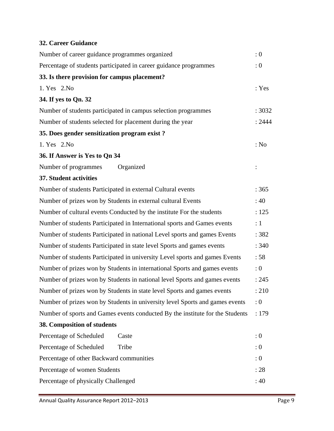#### **32. Career Guidance**

| Number of career guidance programmes organized                                | : 0    |
|-------------------------------------------------------------------------------|--------|
| Percentage of students participated in career guidance programmes             | : 0    |
| 33. Is there provision for campus placement?                                  |        |
| 1. Yes 2. No                                                                  | : Yes  |
| 34. If yes to Qn. 32                                                          |        |
| Number of students participated in campus selection programmes                | : 3032 |
| Number of students selected for placement during the year                     | : 2444 |
| 35. Does gender sensitization program exist?                                  |        |
| 1. Yes 2. No                                                                  | : No   |
| 36. If Answer is Yes to Qn 34                                                 |        |
| Number of programmes<br>Organized                                             |        |
| 37. Student activities                                                        |        |
| Number of students Participated in external Cultural events                   | :365   |
| Number of prizes won by Students in external cultural Events                  | :40    |
| Number of cultural events Conducted by the institute For the students         | : 125  |
| Number of students Participated in International sports and Games events      | :1     |
| Number of students Participated in national Level sports and games Events     | : 382  |
| Number of students Participated in state level Sports and games events        | : 340  |
| Number of students Participated in university Level sports and games Events   | :58    |
| Number of prizes won by Students in international Sports and games events     | :0     |
| Number of prizes won by Students in national level Sports and games events    | : 245  |
| Number of prizes won by Students in state level Sports and games events       | : 210  |
| Number of prizes won by Students in university level Sports and games events  | : 0    |
| Number of sports and Games events conducted By the institute for the Students | :179   |
| 38. Composition of students                                                   |        |
| Percentage of Scheduled<br>Caste                                              | : 0    |
| Percentage of Scheduled<br>Tribe                                              | : 0    |
| Percentage of other Backward communities                                      | : 0    |
| Percentage of women Students                                                  | :28    |
| Percentage of physically Challenged                                           | : 40   |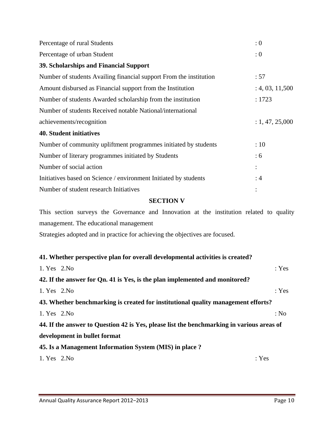| Percentage of rural Students                                       | : 0             |
|--------------------------------------------------------------------|-----------------|
| Percentage of urban Student                                        | : 0             |
| 39. Scholarships and Financial Support                             |                 |
| Number of students Availing financial support From the institution | :57             |
| Amount disbursed as Financial support from the Institution         | : 4, 03, 11,500 |
| Number of students Awarded scholarship from the institution        | : 1723          |
| Number of students Received notable National/international         |                 |
| achievements/recognition                                           | : 1, 47, 25,000 |
| <b>40. Student initiatives</b>                                     |                 |
| Number of community upliftment programmes initiated by students    | :10             |
| Number of literary programmes initiated by Students                | : 6             |
| Number of social action                                            |                 |
| Initiatives based on Science / environment Initiated by students   | :4              |
| Number of student research Initiatives                             |                 |

#### **SECTION V**

This section surveys the Governance and Innovation at the institution related to quality management. The educational management

Strategies adopted and in practice for achieving the objectives are focused.

| 41. Whether perspective plan for overall developmental activities is created?             |       |
|-------------------------------------------------------------------------------------------|-------|
| 1. Yes 2. No                                                                              | : Yes |
| 42. If the answer for Qn. 41 is Yes, is the plan implemented and monitored?               |       |
| 1. Yes 2. No                                                                              | : Yes |
| 43. Whether benchmarking is created for institutional quality management efforts?         |       |
| 1. Yes 2. No                                                                              | : No  |
| 44. If the answer to Question 42 is Yes, please list the benchmarking in various areas of |       |
| development in bullet format                                                              |       |
| 45. Is a Management Information System (MIS) in place ?                                   |       |
| 1. Yes 2. No                                                                              | : Yes |
|                                                                                           |       |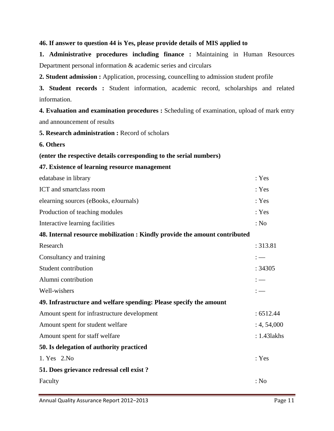#### **46. If answer to question 44 is Yes, please provide details of MIS applied to**

**1. Administrative procedures including finance :** Maintaining in Human Resources Department personal information & academic series and circulars

**2. Student admission :** Application, processing, councelling to admission student profile

**3. Student records :** Student information, academic record, scholarships and related information.

**4. Evaluation and examination procedures :** Scheduling of examination, upload of mark entry and announcement of results

**5. Research administration :** Record of scholars

**6. Others** 

- **(enter the respective details corresponding to the serial numbers)**
- **47. Existence of learning resource management**

| edatabase in library                                                       | : Yes       |
|----------------------------------------------------------------------------|-------------|
| ICT and smartclass room                                                    | : Yes       |
| elearning sources (eBooks, eJournals)                                      | : Yes       |
| Production of teaching modules                                             | : Yes       |
| Interactive learning facilities                                            | : No        |
| 48. Internal resource mobilization : Kindly provide the amount contributed |             |
| Research                                                                   | : 313.81    |
| Consultancy and training                                                   |             |
| Student contribution                                                       | :34305      |
| Alumni contribution                                                        | $:=$        |
| Well-wishers                                                               | $:=$        |
| 49. Infrastructure and welfare spending: Please specify the amount         |             |
| Amount spent for infrastructure development                                | : 6512.44   |
| Amount spent for student welfare                                           | : 4, 54,000 |
| Amount spent for staff welfare                                             | : 1.431akhs |
| 50. Is delegation of authority practiced                                   |             |
| 1. Yes 2. No                                                               | : Yes       |
| 51. Does grievance redressal cell exist?                                   |             |
| Faculty                                                                    | : No        |
|                                                                            |             |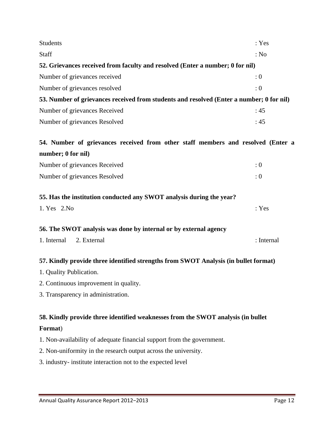| <b>Students</b>                                                                          | : Yes      |
|------------------------------------------------------------------------------------------|------------|
| <b>Staff</b>                                                                             | : No       |
| 52. Grievances received from faculty and resolved (Enter a number; 0 for nil)            |            |
| Number of grievances received                                                            | $\colon 0$ |
| Number of grievances resolved                                                            | $\div 0$   |
| 53. Number of grievances received from students and resolved (Enter a number; 0 for nil) |            |
| Number of grievances Received                                                            | :45        |
| Number of grievances Resolved                                                            | :45        |
|                                                                                          |            |

### **54. Number of grievances received from other staff members and resolved (Enter a number; 0 for nil)**

| Number of grievances Received |  |
|-------------------------------|--|
| Number of grievances Resolved |  |

#### **55. Has the institution conducted any SWOT analysis during the year?**

| 1. Yes 2. No |  | : Yes |
|--------------|--|-------|
|              |  |       |

#### **56. The SWOT analysis was done by internal or by external agency**

| 1. Internal 2. External | : Internal |
|-------------------------|------------|
|                         |            |

#### **57. Kindly provide three identified strengths from SWOT Analysis (in bullet format)**

- 1. Quality Publication.
- 2. Continuous improvement in quality.
- 3. Transparency in administration.

#### **58. Kindly provide three identified weaknesses from the SWOT analysis (in bullet**

#### **Format**)

1. Non-availability of adequate financial support from the government.

- 2. Non-uniformity in the research output across the university.
- 3. industry- institute interaction not to the expected level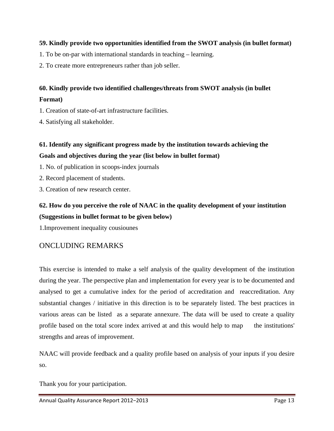#### **59. Kindly provide two opportunities identified from the SWOT analysis (in bullet format)**

1. To be on-par with international standards in teaching – learning.

2. To create more entrepreneurs rather than job seller.

#### **60. Kindly provide two identified challenges/threats from SWOT analysis (in bullet Format)**

1. Creation of state-of-art infrastructure facilities.

4. Satisfying all stakeholder.

#### **61. Identify any significant progress made by the institution towards achieving the Goals and objectives during the year (list below in bullet format)**

1. No. of publication in scoops-index journals

- 2. Record placement of students.
- 3. Creation of new research center.

#### **62. How do you perceive the role of NAAC in the quality development of your institution (Suggestions in bullet format to be given below)**

1.Improvement inequality cousiounes

#### ONCLUDING REMARKS

This exercise is intended to make a self analysis of the quality development of the institution during the year. The perspective plan and implementation for every year is to be documented and analysed to get a cumulative index for the period of accreditation and reaccreditation. Any substantial changes / initiative in this direction is to be separately listed. The best practices in various areas can be listed as a separate annexure. The data will be used to create a quality profile based on the total score index arrived at and this would help to map the institutions' strengths and areas of improvement.

NAAC will provide feedback and a quality profile based on analysis of your inputs if you desire so.

Thank you for your participation.